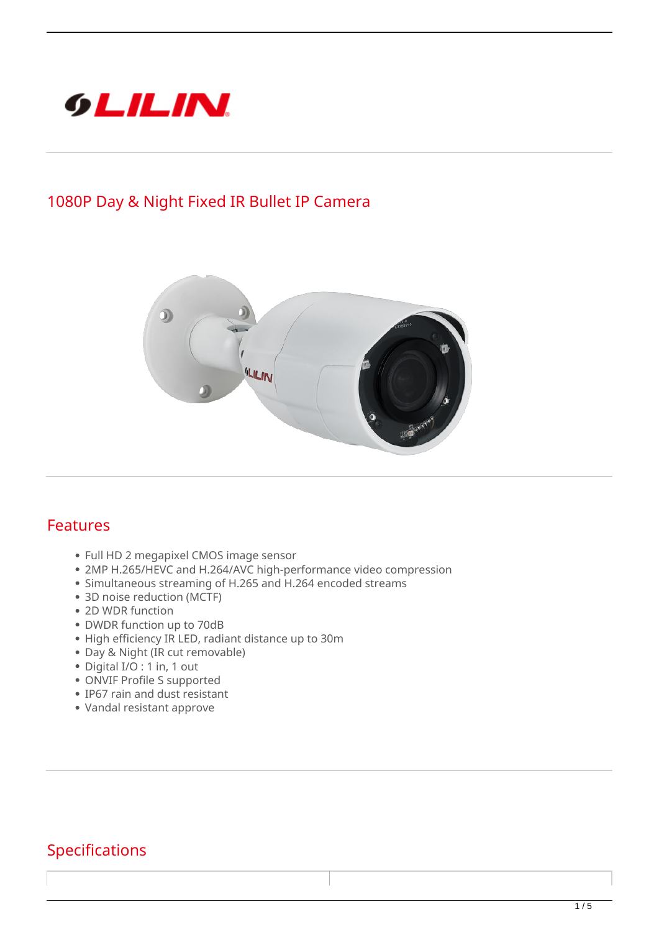

## **1080P Day & Night Fixed IR Bullet IP Camera**



## **Features**

- Full HD 2 megapixel CMOS image sensor
- 2MP H.265/HEVC and H.264/AVC high-performance video compression
- Simultaneous streaming of H.265 and H.264 encoded streams
- 3D noise reduction (MCTF)
- 2D WDR function
- DWDR function up to 70dB
- High efficiency IR LED, radiant distance up to 30m
- Day & Night (IR cut removable)
- Digital I/O : 1 in, 1 out
- ONVIF Profile S supported
- IP67 rain and dust resistant
- Vandal resistant approve

## **Specifications**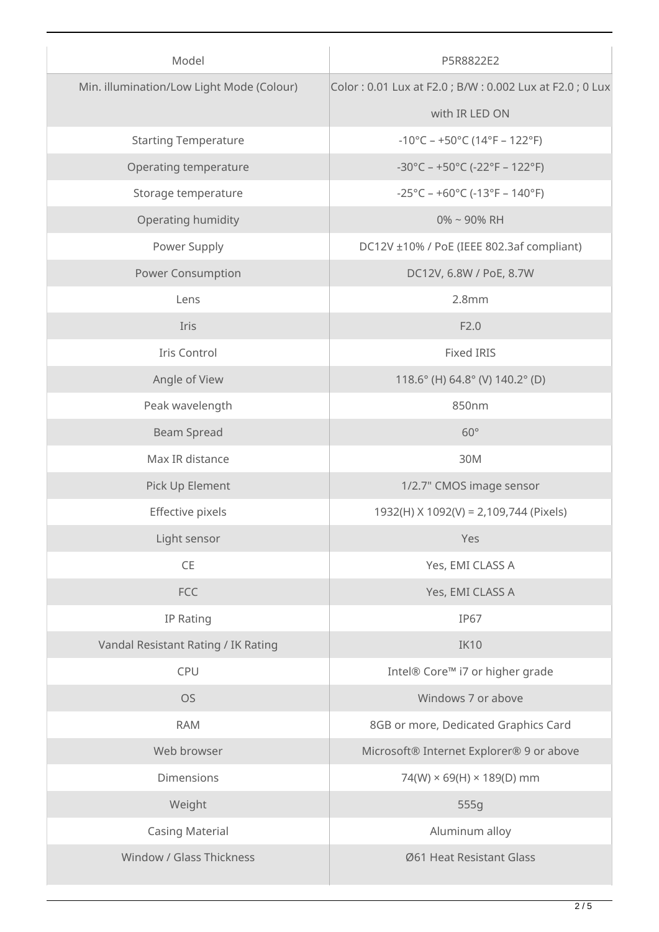| Model                                     | P5R8822E2                                                                |
|-------------------------------------------|--------------------------------------------------------------------------|
| Min. illumination/Low Light Mode (Colour) | Color: 0.01 Lux at F2.0; B/W: 0.002 Lux at F2.0; 0 Lux                   |
|                                           | with IR LED ON                                                           |
| <b>Starting Temperature</b>               | $-10^{\circ}$ C – +50 $^{\circ}$ C (14 $^{\circ}$ F – 122 $^{\circ}$ F)  |
| Operating temperature                     | $-30^{\circ}$ C – +50°C (-22°F – 122°F)                                  |
| Storage temperature                       | $-25^{\circ}$ C – +60 $^{\circ}$ C (-13 $^{\circ}$ F – 140 $^{\circ}$ F) |
| Operating humidity                        | 0% ~ 90% RH                                                              |
| Power Supply                              | DC12V ±10% / PoE (IEEE 802.3af compliant)                                |
| <b>Power Consumption</b>                  | DC12V, 6.8W / PoE, 8.7W                                                  |
| Lens                                      | 2.8mm                                                                    |
| Iris                                      | F2.0                                                                     |
| Iris Control                              | <b>Fixed IRIS</b>                                                        |
| Angle of View                             | 118.6° (H) 64.8° (V) 140.2° (D)                                          |
| Peak wavelength                           | 850nm                                                                    |
| <b>Beam Spread</b>                        | $60^\circ$                                                               |
| Max IR distance                           | 30M                                                                      |
| Pick Up Element                           | 1/2.7" CMOS image sensor                                                 |
| Effective pixels                          | 1932(H) X 1092(V) = 2,109,744 (Pixels)                                   |
| Light sensor                              | Yes                                                                      |
| CE                                        | Yes, EMI CLASS A                                                         |
| <b>FCC</b>                                | Yes, EMI CLASS A                                                         |
| IP Rating                                 | IP67                                                                     |
| Vandal Resistant Rating / IK Rating       | <b>IK10</b>                                                              |
| <b>CPU</b>                                | Intel® Core™ i7 or higher grade                                          |
| OS                                        | Windows 7 or above                                                       |
| <b>RAM</b>                                | 8GB or more, Dedicated Graphics Card                                     |
| Web browser                               | Microsoft® Internet Explorer® 9 or above                                 |
| <b>Dimensions</b>                         | $74(W) \times 69(H) \times 189(D)$ mm                                    |
| Weight                                    | 555g                                                                     |
| <b>Casing Material</b>                    | Aluminum alloy                                                           |
| Window / Glass Thickness                  | Ø61 Heat Resistant Glass                                                 |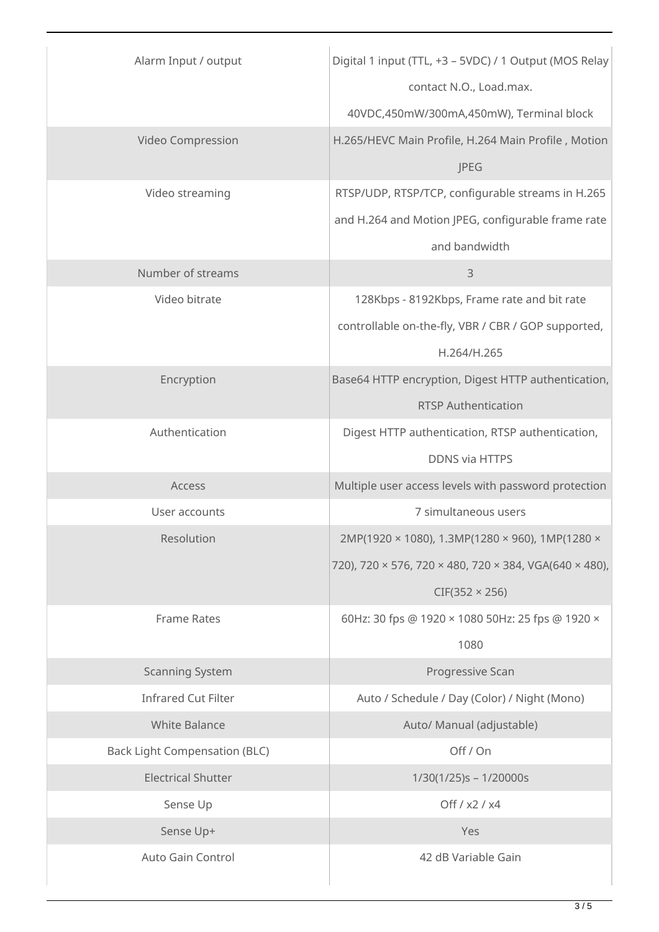| Alarm Input / output                 | Digital 1 input (TTL, +3 - 5VDC) / 1 Output (MOS Relay |
|--------------------------------------|--------------------------------------------------------|
|                                      | contact N.O., Load.max.                                |
|                                      | 40VDC,450mW/300mA,450mW), Terminal block               |
| Video Compression                    | H.265/HEVC Main Profile, H.264 Main Profile, Motion    |
|                                      | JPEG                                                   |
| Video streaming                      | RTSP/UDP, RTSP/TCP, configurable streams in H.265      |
|                                      | and H.264 and Motion JPEG, configurable frame rate     |
|                                      | and bandwidth                                          |
| Number of streams                    | 3                                                      |
| Video bitrate                        | 128Kbps - 8192Kbps, Frame rate and bit rate            |
|                                      | controllable on-the-fly, VBR / CBR / GOP supported,    |
|                                      | H.264/H.265                                            |
| Encryption                           | Base64 HTTP encryption, Digest HTTP authentication,    |
|                                      | <b>RTSP Authentication</b>                             |
| Authentication                       | Digest HTTP authentication, RTSP authentication,       |
|                                      | <b>DDNS</b> via HTTPS                                  |
| Access                               | Multiple user access levels with password protection   |
| User accounts                        | 7 simultaneous users                                   |
| Resolution                           | 2MP(1920 × 1080), 1.3MP(1280 × 960), 1MP(1280 ×        |
|                                      | 720), 720 × 576, 720 × 480, 720 × 384, VGA(640 × 480), |
|                                      | $CIF(352 \times 256)$                                  |
| <b>Frame Rates</b>                   | 60Hz: 30 fps @ 1920 × 1080 50Hz: 25 fps @ 1920 ×       |
|                                      | 1080                                                   |
| <b>Scanning System</b>               | Progressive Scan                                       |
| <b>Infrared Cut Filter</b>           | Auto / Schedule / Day (Color) / Night (Mono)           |
| <b>White Balance</b>                 | Auto/ Manual (adjustable)                              |
| <b>Back Light Compensation (BLC)</b> | Off / On                                               |
| <b>Electrical Shutter</b>            | $1/30(1/25)s - 1/20000s$                               |
| Sense Up                             | Off $/ x2 / x4$                                        |
| Sense Up+                            | Yes                                                    |
| Auto Gain Control                    | 42 dB Variable Gain                                    |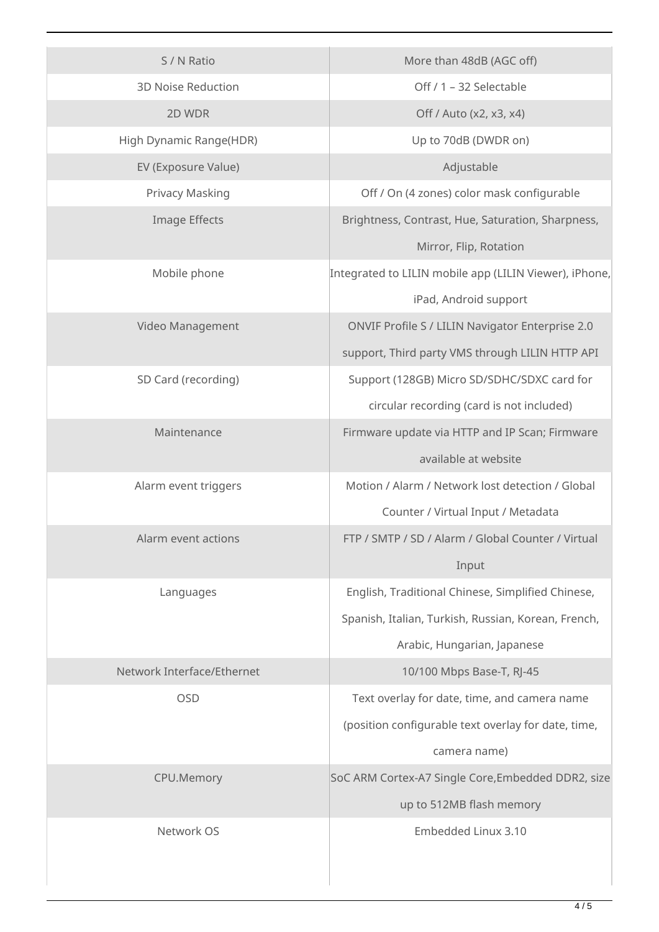| S / N Ratio                | More than 48dB (AGC off)                               |
|----------------------------|--------------------------------------------------------|
| <b>3D Noise Reduction</b>  | Off / 1 - 32 Selectable                                |
| 2D WDR                     | Off / Auto (x2, x3, x4)                                |
| High Dynamic Range(HDR)    | Up to 70dB (DWDR on)                                   |
| EV (Exposure Value)        | Adjustable                                             |
| Privacy Masking            | Off / On (4 zones) color mask configurable             |
| Image Effects              | Brightness, Contrast, Hue, Saturation, Sharpness,      |
|                            | Mirror, Flip, Rotation                                 |
| Mobile phone               | Integrated to LILIN mobile app (LILIN Viewer), iPhone, |
|                            | iPad, Android support                                  |
| Video Management           | ONVIF Profile S / LILIN Navigator Enterprise 2.0       |
|                            | support, Third party VMS through LILIN HTTP API        |
| SD Card (recording)        | Support (128GB) Micro SD/SDHC/SDXC card for            |
|                            | circular recording (card is not included)              |
| Maintenance                | Firmware update via HTTP and IP Scan; Firmware         |
|                            | available at website                                   |
| Alarm event triggers       | Motion / Alarm / Network lost detection / Global       |
|                            | Counter / Virtual Input / Metadata                     |
| Alarm event actions        | FTP / SMTP / SD / Alarm / Global Counter / Virtual     |
|                            | Input                                                  |
| Languages                  | English, Traditional Chinese, Simplified Chinese,      |
|                            | Spanish, Italian, Turkish, Russian, Korean, French,    |
|                            | Arabic, Hungarian, Japanese                            |
| Network Interface/Ethernet | 10/100 Mbps Base-T, RJ-45                              |
| <b>OSD</b>                 | Text overlay for date, time, and camera name           |
|                            | (position configurable text overlay for date, time,    |
|                            | camera name)                                           |
| CPU.Memory                 | SoC ARM Cortex-A7 Single Core, Embedded DDR2, size     |
|                            | up to 512MB flash memory                               |
| Network OS                 | Embedded Linux 3.10                                    |
|                            |                                                        |
|                            |                                                        |